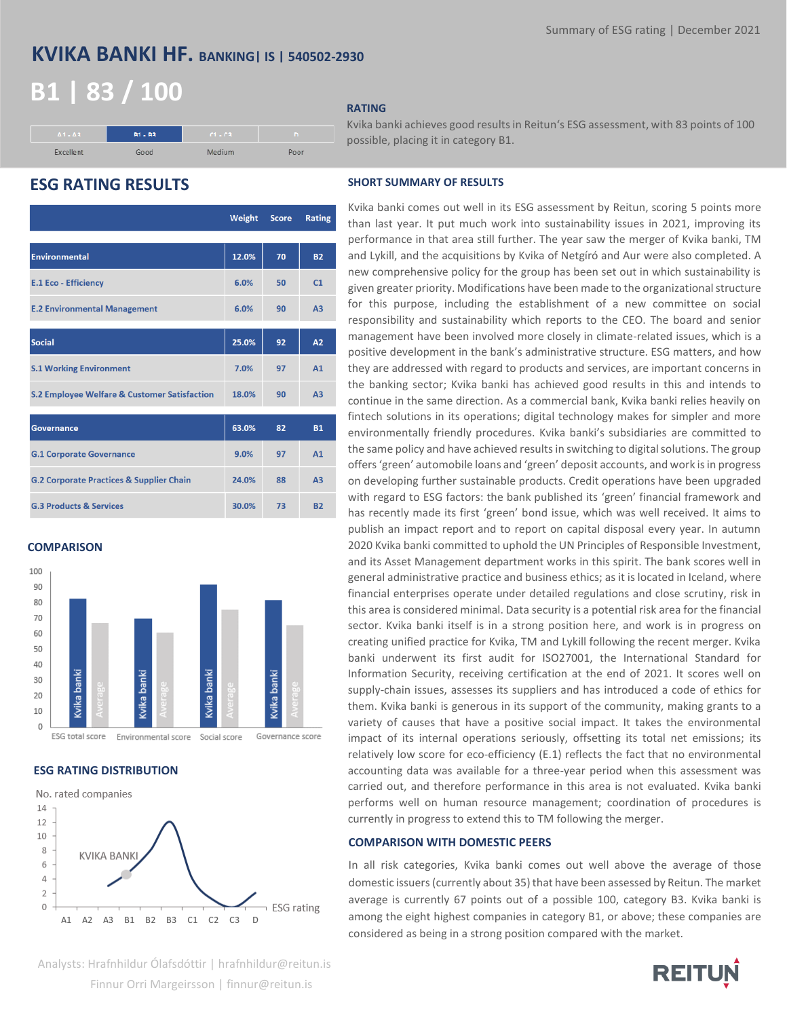## **KVIKA BANKI HF. BANKING| IS | 540502-2930**

## **B1 | 83 / 100**



### **RATING**

Kvika banki achieves good results in Reitun's ESG assessment, with 83 points of 100 possible, placing it in category B1.

## **ESG RATING RESULTS SHORT SUMMARY OF RESULTS**

|                                                         | Weight | <b>Score</b> | <b>Rating</b>  |
|---------------------------------------------------------|--------|--------------|----------------|
|                                                         |        |              |                |
| <b>Environmental</b>                                    | 12.0%  | 70           | <b>B2</b>      |
| <b>E.1 Eco - Efficiency</b>                             | 6.0%   | 50           | C <sub>1</sub> |
| <b>E.2 Environmental Management</b>                     | 6.0%   | 90           | A <sub>3</sub> |
| <b>Social</b>                                           | 25.0%  | 92           | A2             |
| <b>S.1 Working Environment</b>                          | 7.0%   | 97           | A1             |
| <b>S.2 Employee Welfare &amp; Customer Satisfaction</b> | 18.0%  | 90           | A <sub>3</sub> |
| <b>Governance</b>                                       | 63.0%  | 82           | <b>B1</b>      |
| <b>G.1 Corporate Governance</b>                         | 9.0%   | 97           | A1             |
| <b>G.2 Corporate Practices &amp; Supplier Chain</b>     | 24.0%  | 88           | A <sub>3</sub> |
| <b>G.3 Products &amp; Services</b>                      | 30.0%  | 73           | <b>B2</b>      |

### **COMPARISON**



ESG total score Governance score Environmental score Social score

## **ESG RATING DISTRIBUTION**



Kvika banki comes out well in its ESG assessment by Reitun, scoring 5 points more than last year. It put much work into sustainability issues in 2021, improving its performance in that area still further. The year saw the merger of Kvika banki, TM and Lykill, and the acquisitions by Kvika of Netgíró and Aur were also completed. A new comprehensive policy for the group has been set out in which sustainability is given greater priority. Modifications have been made to the organizational structure for this purpose, including the establishment of a new committee on social responsibility and sustainability which reports to the CEO. The board and senior management have been involved more closely in climate-related issues, which is a positive development in the bank's administrative structure. ESG matters, and how they are addressed with regard to products and services, are important concerns in the banking sector; Kvika banki has achieved good results in this and intends to continue in the same direction. As a commercial bank, Kvika banki relies heavily on fintech solutions in its operations; digital technology makes for simpler and more environmentally friendly procedures. Kvika banki's subsidiaries are committed to the same policy and have achieved results in switching to digital solutions. The group offers 'green' automobile loans and 'green' deposit accounts, and work is in progress on developing further sustainable products. Credit operations have been upgraded with regard to ESG factors: the bank published its 'green' financial framework and has recently made its first 'green' bond issue, which was well received. It aims to publish an impact report and to report on capital disposal every year. In autumn 2020 Kvika banki committed to uphold the UN Principles of Responsible Investment, and its Asset Management department works in this spirit. The bank scores well in general administrative practice and business ethics; as it is located in Iceland, where financial enterprises operate under detailed regulations and close scrutiny, risk in this area is considered minimal. Data security is a potential risk area for the financial sector. Kvika banki itself is in a strong position here, and work is in progress on creating unified practice for Kvika, TM and Lykill following the recent merger. Kvika banki underwent its first audit for ISO27001, the International Standard for Information Security, receiving certification at the end of 2021. It scores well on supply-chain issues, assesses its suppliers and has introduced a code of ethics for them. Kvika banki is generous in its support of the community, making grants to a variety of causes that have a positive social impact. It takes the environmental impact of its internal operations seriously, offsetting its total net emissions; its relatively low score for eco-efficiency (E.1) reflects the fact that no environmental accounting data was available for a three-year period when this assessment was carried out, and therefore performance in this area is not evaluated. Kvika banki performs well on human resource management; coordination of procedures is currently in progress to extend this to TM following the merger.

### **COMPARISON WITH DOMESTIC PEERS**

In all risk categories, Kvika banki comes out well above the average of those domestic issuers (currently about 35) that have been assessed by Reitun. The market average is currently 67 points out of a possible 100, category B3. Kvika banki is among the eight highest companies in category B1, or above; these companies are considered as being in a strong position compared with the market.



# **REITUN**